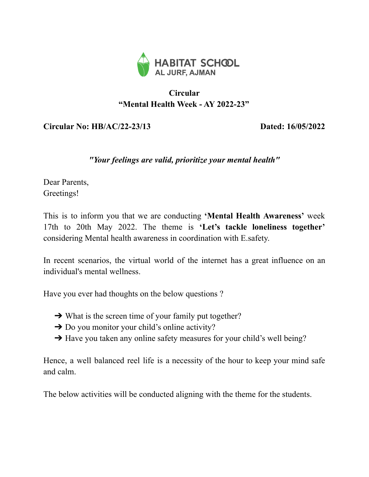

## **Circular "Mental Health Week - AY 2022-23"**

## **Circular No: HB/AC/22-23/13 Dated: 16/05/2022**

## *"Your feelings are valid, prioritize your mental health"*

Dear Parents, Greetings!

This is to inform you that we are conducting **'Mental Health Awareness'** week 17th to 20th May 2022. The theme is **'Let's tackle loneliness together'** considering Mental health awareness in coordination with E.safety.

In recent scenarios, the virtual world of the internet has a great influence on an individual's mental wellness.

Have you ever had thoughts on the below questions ?

- $\rightarrow$  What is the screen time of your family put together?
- $\rightarrow$  Do you monitor your child's online activity?
- $\rightarrow$  Have you taken any online safety measures for your child's well being?

Hence, a well balanced reel life is a necessity of the hour to keep your mind safe and calm.

The below activities will be conducted aligning with the theme for the students.